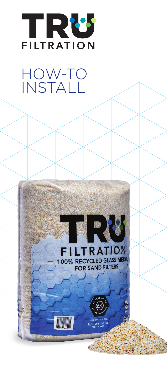

HOW-TO INSTALL

## **FILTRATION** 100% RECYCLED GLASS MEDIA FOR SAND FILTERS.